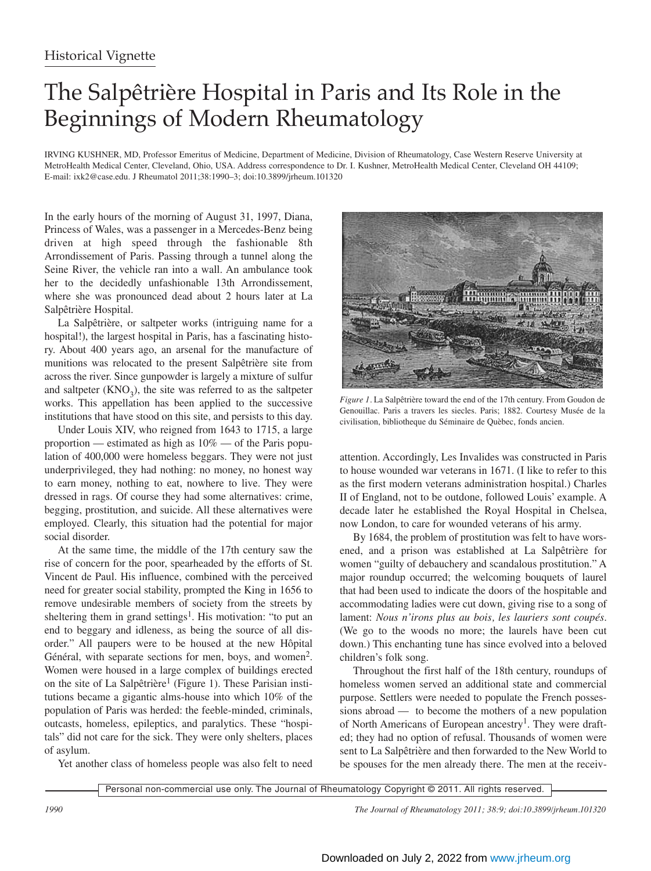## The Salpêtrière Hospital in Paris and Its Role in the Beginnings of Modern Rheumatology

IRVING KUSHNER, MD, Professor Emeritus of Medicine, Department of Medicine, Division of Rheumatology, Case Western Reserve University at MetroHealth Medical Center, Cleveland, Ohio, USA. Address correspondence to Dr. I. Kushner, MetroHealth Medical Center, Cleveland OH 44109; E-mail: ixk2@case.edu. J Rheumatol 2011;38:1990–3; doi:10.3899/jrheum.101320

In the early hours of the morning of August 31, 1997, Diana, Princess of Wales, was a passenger in a Mercedes-Benz being driven at high speed through the fashionable 8th Arrondissement of Paris. Passing through a tunnel along the Seine River, the vehicle ran into a wall. An ambulance took her to the decidedly unfashionable 13th Arrondissement, where she was pronounced dead about 2 hours later at La Salpêtrière Hospital.

La Salpêtrière, or saltpeter works (intriguing name for a hospital!), the largest hospital in Paris, has a fascinating history. About 400 years ago, an arsenal for the manufacture of munitions was relocated to the present Salpêtrière site from across the river. Since gunpowder is largely a mixture of sulfur and saltpeter  $(KNO<sub>3</sub>)$ , the site was referred to as the saltpeter works. This appellation has been applied to the successive institutions that have stood on this site, and persists to this day.

Under Louis XIV, who reigned from 1643 to 1715, a large proportion — estimated as high as  $10\%$  — of the Paris population of 400,000 were homeless beggars. They were not just underprivileged, they had nothing: no money, no honest way to earn money, nothing to eat, nowhere to live. They were dressed in rags. Of course they had some alternatives: crime, begging, prostitution, and suicide. All these alternatives were employed. Clearly, this situation had the potential for major social disorder.

At the same time, the middle of the 17th century saw the rise of concern for the poor, spearheaded by the efforts of St. Vincent de Paul. His influence, combined with the perceived need for greater social stability, prompted the King in 1656 to remove undesirable members of society from the streets by sheltering them in grand settings<sup>1</sup>. His motivation: "to put an end to beggary and idleness, as being the source of all disorder." All paupers were to be housed at the new Hôpital Général, with separate sections for men, boys, and women<sup>2</sup>. Women were housed in a large complex of buildings erected on the site of La Salpêtrière<sup>1</sup> (Figure 1). These Parisian institutions became a gigantic alms-house into which 10% of the population of Paris was herded: the feeble-minded, criminals, outcasts, homeless, epileptics, and paralytics. These "hospitals" did not care for the sick. They were only shelters, places of asylum.

Yet another class of homeless people was also felt to need



*Figure 1.* La Salpêtrière toward the end of the 17th century. From Goudon de Genouillac. Paris a travers les siecles. Paris; 1882. Courtesy Musée de la civilisation, bibliotheque du Séminaire de Quèbec, fonds ancien.

attention. Accordingly, Les Invalides was constructed in Paris to house wounded war veterans in 1671. (I like to refer to this as the first modern veterans administration hospital.) Charles II of England, not to be outdone, followed Louis' example. A decade later he established the Royal Hospital in Chelsea, now London, to care for wounded veterans of his army.

By 1684, the problem of prostitution was felt to have worsened, and a prison was established at La Salpêtrière for women "guilty of debauchery and scandalous prostitution." A major roundup occurred; the welcoming bouquets of laurel that had been used to indicate the doors of the hospitable and accommodating ladies were cut down, giving rise to a song of lament: *Nous n'irons plus au bois, les lauriers sont coupés*. (We go to the woods no more; the laurels have been cut down.) This enchanting tune has since evolved into a beloved children's folk song.

Throughout the first half of the 18th century, roundups of homeless women served an additional state and commercial purpose. Settlers were needed to populate the French possessions abroad — to become the mothers of a new population of North Americans of European ancestry<sup>1</sup>. They were drafted; they had no option of refusal. Thousands of women were sent to La Salpêtrière and then forwarded to the New World to be spouses for the men already there. The men at the receiv-

Personal non-commercial use only. The Journal of Rheumatology Copyright © 2011. All rights reserved.

*1990 The Journal of Rheumatology 2011; 38:9; doi:10.3899/jrheum.101320*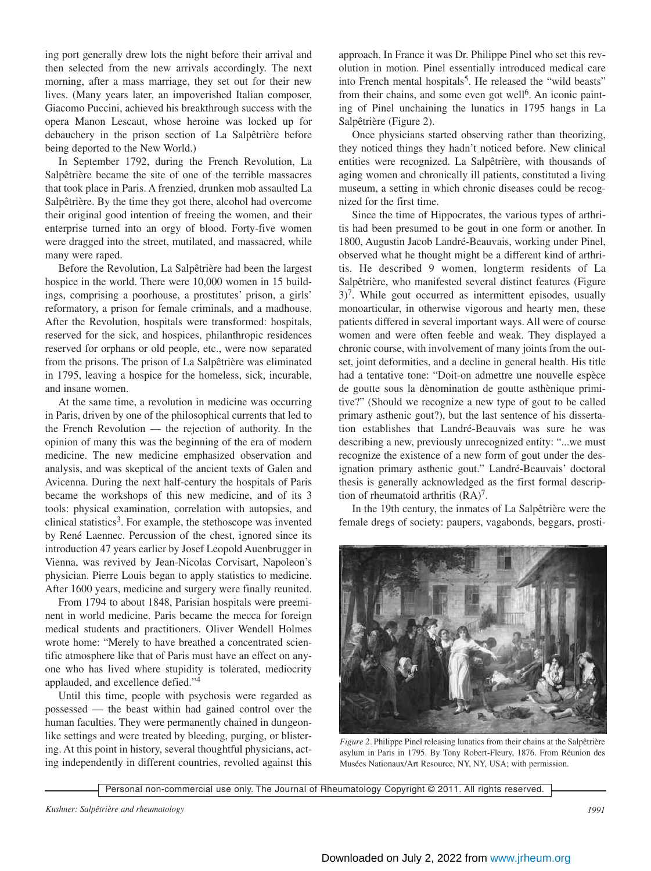ing port generally drew lots the night before their arrival and then selected from the new arrivals accordingly. The next morning, after a mass marriage, they set out for their new lives. (Many years later, an impoverished Italian composer, Giacomo Puccini, achieved his breakthrough success with the opera Manon Lescaut, whose heroine was locked up for debauchery in the prison section of La Salpêtrière before being deported to the New World.)

In September 1792, during the French Revolution, La Salpêtrière became the site of one of the terrible massacres that took place in Paris. A frenzied, drunken mob assaulted La Salpêtrière. By the time they got there, alcohol had overcome their original good intention of freeing the women, and their enterprise turned into an orgy of blood. Forty-five women were dragged into the street, mutilated, and massacred, while many were raped.

Before the Revolution, La Salpêtrière had been the largest hospice in the world. There were 10,000 women in 15 buildings, comprising a poorhouse, a prostitutes' prison, a girls' reformatory, a prison for female criminals, and a madhouse. After the Revolution, hospitals were transformed: hospitals, reserved for the sick, and hospices, philanthropic residences reserved for orphans or old people, etc., were now separated from the prisons. The prison of La Salpêtrière was eliminated in 1795, leaving a hospice for the homeless, sick, incurable, and insane women.

At the same time, a revolution in medicine was occurring in Paris, driven by one of the philosophical currents that led to the French Revolution — the rejection of authority. In the opinion of many this was the beginning of the era of modern medicine. The new medicine emphasized observation and analysis, and was skeptical of the ancient texts of Galen and Avicenna. During the next half-century the hospitals of Paris became the workshops of this new medicine, and of its 3 tools: physical examination, correlation with autopsies, and clinical statistics<sup>3</sup>. For example, the stethoscope was invented by René Laennec. Percussion of the chest, ignored since its introduction 47 years earlier by Josef Leopold Auenbrugger in Vienna, was revived by Jean-Nicolas Corvisart, Napoleon's physician. Pierre Louis began to apply statistics to medicine. After 1600 years, medicine and surgery were finally reunited.

From 1794 to about 1848, Parisian hospitals were preeminent in world medicine. Paris became the mecca for foreign medical students and practitioners. Oliver Wendell Holmes wrote home: "Merely to have breathed a concentrated scientific atmosphere like that of Paris must have an effect on anyone who has lived where stupidity is tolerated, mediocrity applauded, and excellence defied."<sup>4</sup>

Until this time, people with psychosis were regarded as possessed — the beast within had gained control over the human faculties. They were permanently chained in dungeonlike settings and were treated by bleeding, purging, or blistering. At this point in history, several thoughtful physicians, acting independently in different countries, revolted against this approach. In France it was Dr. Philippe Pinel who set this revolution in motion. Pinel essentially introduced medical care into French mental hospitals<sup>5</sup>. He released the "wild beasts" from their chains, and some even got well<sup>6</sup>. An iconic painting of Pinel unchaining the lunatics in 1795 hangs in La Salpêtrière (Figure 2).

Once physicians started observing rather than theorizing, they noticed things they hadn't noticed before. New clinical entities were recognized. La Salpêtrière, with thousands of aging women and chronically ill patients, constituted a living museum, a setting in which chronic diseases could be recognized for the first time.

Since the time of Hippocrates, the various types of arthritis had been presumed to be gout in one form or another. In 1800, Augustin Jacob Landré-Beauvais, working under Pinel, observed what he thought might be a different kind of arthritis. He described 9 women, longterm residents of La Salpêtrière, who manifested several distinct features (Figure 3)7. While gout occurred as intermittent episodes, usually monoarticular, in otherwise vigorous and hearty men, these patients differed in several important ways. All were of course women and were often feeble and weak. They displayed a chronic course, with involvement of many joints from the outset, joint deformities, and a decline in general health. His title had a tentative tone: "Doit-on admettre une nouvelle espèce de goutte sous la dènomination de goutte asthènique primitive?" (Should we recognize a new type of gout to be called primary asthenic gout?), but the last sentence of his dissertation establishes that Landré-Beauvais was sure he was describing a new, previously unrecognized entity: "...we must recognize the existence of a new form of gout under the designation primary asthenic gout." Landré-Beauvais' doctoral thesis is generally acknowledged as the first formal description of rheumatoid arthritis  $(RA)^7$ .

In the 19th century, the inmates of La Salpêtrière were the female dregs of society: paupers, vagabonds, beggars, prosti-



*Figure 2.* Philippe Pinel releasing lunatics from their chains at the Salpêtrière asylum in Paris in 1795. By Tony Robert-Fleury, 1876. From Réunion des Musées Nationaux/Art Resource, NY, NY, USA; with permission.

Personal non-commercial use only. The Journal of Rheumatology Copyright © 2011. All rights reserved.

*Kushner: Salpêtrière and rheumatology 1991*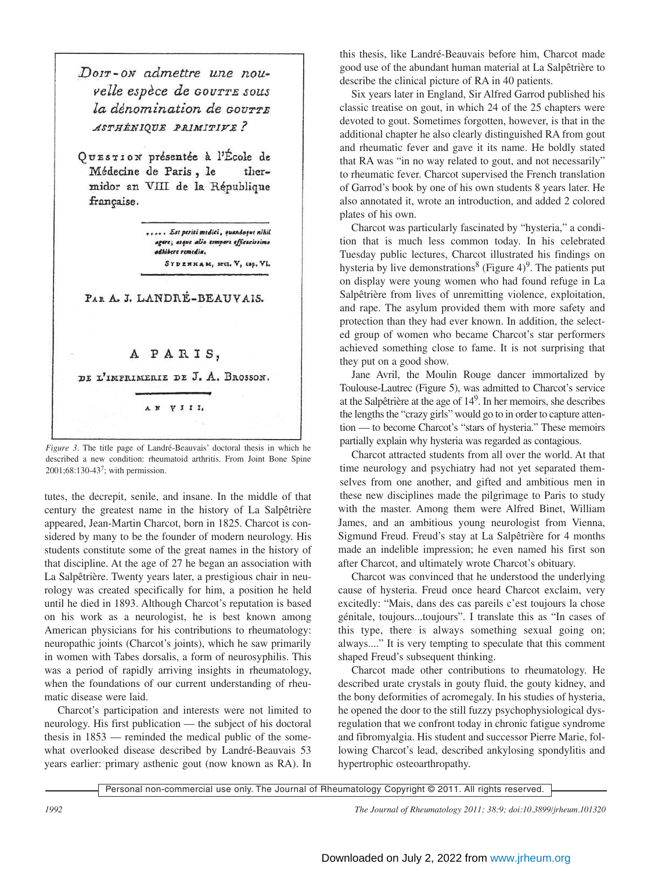Doir-on admettre une nouvelle espèce de GOUTTE SOUS la dénomination de GOUTTE ASTHENIQUE PRIMITIVE?

QUESTION présentée à l'École de Médecine de Paris, le thermidor an VIII de la République francaise.

> ..... Est periti medici, quandogue nihil agere; asque also tempore efficacissima adhibere remedia,

> > STDENNAM, sect. V, cap. VI.

PAR A. J. LANDRÉ-BEAUVAIS.

A PARIS, DE L'IMPRIMERIE DE J. A. BROSSON.

AN VIII,

*Figure 3.* The title page of Landré-Beauvais' doctoral thesis in which he described a new condition: rheumatoid arthritis. From Joint Bone Spine 2001;68:130-437; with permission.

tutes, the decrepit, senile, and insane. In the middle of that century the greatest name in the history of La Salpêtrière appeared, Jean-Martin Charcot, born in 1825. Charcot is considered by many to be the founder of modern neurology. His students constitute some of the great names in the history of that discipline. At the age of 27 he began an association with La Salpêtrière. Twenty years later, a prestigious chair in neurology was created specifically for him, a position he held until he died in 1893. Although Charcot's reputation is based on his work as a neurologist, he is best known among American physicians for his contributions to rheumatology: neuropathic joints (Charcot's joints), which he saw primarily in women with Tabes dorsalis, a form of neurosyphilis. This was a period of rapidly arriving insights in rheumatology, when the foundations of our current understanding of rheumatic disease were laid.

Charcot's participation and interests were not limited to neurology. His first publication — the subject of his doctoral thesis in 1853 — reminded the medical public of the somewhat overlooked disease described by Landré-Beauvais 53 years earlier: primary asthenic gout (now known as RA). In

this thesis, like Landré-Beauvais before him, Charcot made good use of the abundant human material at La Salpêtrière to describe the clinical picture of RA in 40 patients.

Six years later in England, Sir Alfred Garrod published his classic treatise on gout, in which 24 of the 25 chapters were devoted to gout. Sometimes forgotten, however, is that in the additional chapter he also clearly distinguished RA from gout and rheumatic fever and gave it its name. He boldly stated that RA was "in no way related to gout, and not necessarily" to rheumatic fever. Charcot supervised the French translation of Garrod's book by one of his own students 8 years later. He also annotated it, wrote an introduction, and added 2 colored plates of his own.

Charcot was particularly fascinated by "hysteria," a condition that is much less common today. In his celebrated Tuesday public lectures, Charcot illustrated his findings on hysteria by live demonstrations<sup>8</sup> (Figure 4)<sup>9</sup>. The patients put on display were young women who had found refuge in La Salpêtrière from lives of unremitting violence, exploitation, and rape. The asylum provided them with more safety and protection than they had ever known. In addition, the selected group of women who became Charcot's star performers achieved something close to fame. It is not surprising that they put on a good show.

Jane Avril, the Moulin Rouge dancer immortalized by Toulouse-Lautrec (Figure 5), was admitted to Charcot's service at the Salpêtrière at the age of  $14<sup>9</sup>$ . In her memoirs, she describes the lengths the "crazy girls" would go to in order to capture attention — to become Charcot's "stars of hysteria." These memoirs partially explain why hysteria was regarded as contagious.

Charcot attracted students from all over the world. At that time neurology and psychiatry had not yet separated themselves from one another, and gifted and ambitious men in these new disciplines made the pilgrimage to Paris to study with the master. Among them were Alfred Binet, William James, and an ambitious young neurologist from Vienna, Sigmund Freud. Freud's stay at La Salpêtrière for 4 months made an indelible impression; he even named his first son after Charcot, and ultimately wrote Charcot's obituary.

Charcot was convinced that he understood the underlying cause of hysteria. Freud once heard Charcot exclaim, very excitedly: "Mais, dans des cas pareils c'est toujours la chose génitale, toujours...toujours". I translate this as "In cases of this type, there is always something sexual going on; always...." It is very tempting to speculate that this comment shaped Freud's subsequent thinking.

Charcot made other contributions to rheumatology. He described urate crystals in gouty fluid, the gouty kidney, and the bony deformities of acromegaly. In his studies of hysteria, he opened the door to the still fuzzy psychophysiological dysregulation that we confront today in chronic fatigue syndrome and fibromyalgia. His student and successor Pierre Marie, following Charcot's lead, described ankylosing spondylitis and hypertrophic osteoarthropathy.

Personal non-commercial use only. The Journal of Rheumatology Copyright © 2011. All rights reserved.

*1992 The Journal of Rheumatology 2011; 38:9; doi:10.3899/jrheum.101320*